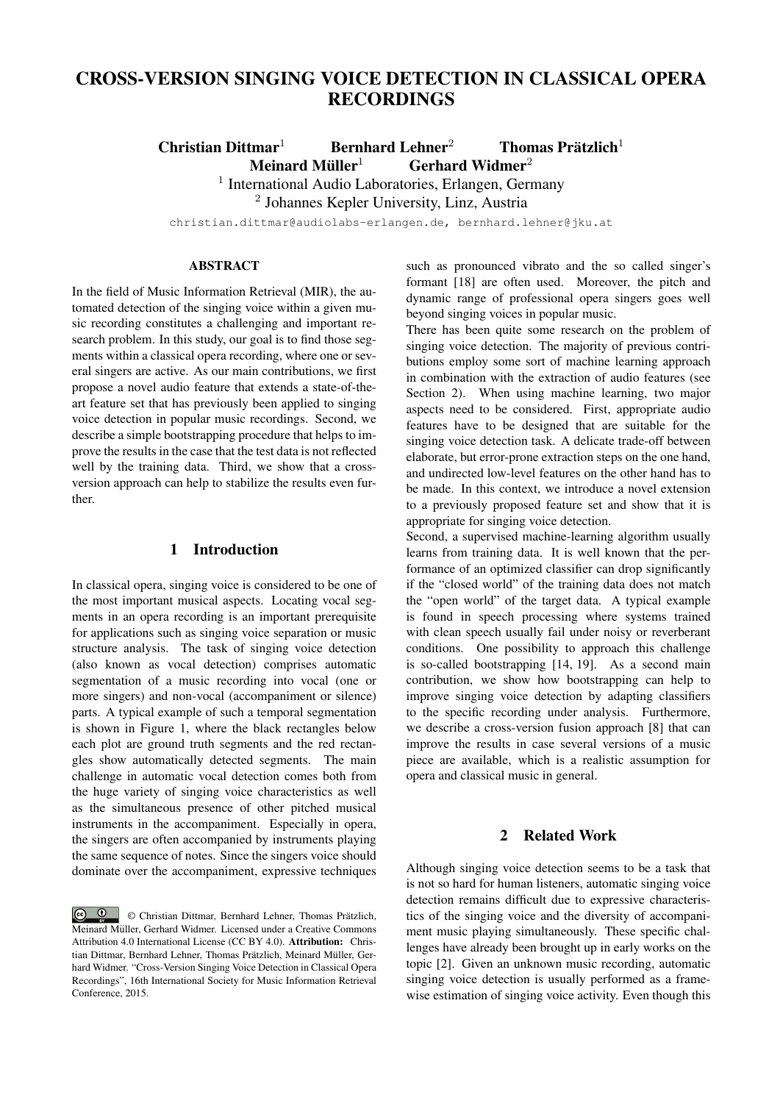# CROSS-VERSION SINGING VOICE DETECTION IN CLASSICAL OPERA RECORDINGS

Christian Dittmar<sup>1</sup> Bernhard Lehner<sup>2</sup> Thomas Prätzlich<sup>1</sup> Meinard Müller<sup>1</sup>  $6$ erhard Widmer<sup>2</sup>

<sup>1</sup> International Audio Laboratories, Erlangen, Germany

2 Johannes Kepler University, Linz, Austria

christian.dittmar@audiolabs-erlangen.de, bernhard.lehner@jku.at

## ABSTRACT

In the field of Music Information Retrieval (MIR), the automated detection of the singing voice within a given music recording constitutes a challenging and important research problem. In this study, our goal is to find those segments within a classical opera recording, where one or several singers are active. As our main contributions, we first propose a novel audio feature that extends a state-of-theart feature set that has previously been applied to singing voice detection in popular music recordings. Second, we describe a simple bootstrapping procedure that helps to improve the results in the case that the test data is not reflected well by the training data. Third, we show that a crossversion approach can help to stabilize the results even further.

## 1 Introduction

In classical opera, singing voice is considered to be one of the most important musical aspects. Locating vocal segments in an opera recording is an important prerequisite for applications such as singing voice separation or music structure analysis. The task of singing voice detection (also known as vocal detection) comprises automatic segmentation of a music recording into vocal (one or more singers) and non-vocal (accompaniment or silence) parts. A typical example of such a temporal segmentation is shown in Figure 1, where the black rectangles below each plot are ground truth segments and the red rectangles show automatically detected segments. The main challenge in automatic vocal detection comes both from the huge variety of singing voice characteristics as well as the simultaneous presence of other pitched musical instruments in the accompaniment. Especially in opera, the singers are often accompanied by instruments playing the same sequence of notes. Since the singers voice should dominate over the accompaniment, expressive techniques such as pronounced vibrato and the so called singer's formant [18] are often used. Moreover, the pitch and dynamic range of professional opera singers goes well beyond singing voices in popular music.

There has been quite some research on the problem of singing voice detection. The majority of previous contributions employ some sort of machine learning approach in combination with the extraction of audio features (see Section 2). When using machine learning, two major aspects need to be considered. First, appropriate audio features have to be designed that are suitable for the singing voice detection task. A delicate trade-off between elaborate, but error-prone extraction steps on the one hand, and undirected low-level features on the other hand has to be made. In this context, we introduce a novel extension to a previously proposed feature set and show that it is appropriate for singing voice detection.

Second, a supervised machine-learning algorithm usually learns from training data. It is well known that the performance of an optimized classifier can drop significantly if the "closed world" of the training data does not match the "open world" of the target data. A typical example is found in speech processing where systems trained with clean speech usually fail under noisy or reverberant conditions. One possibility to approach this challenge is so-called bootstrapping [14, 19]. As a second main contribution, we show how bootstrapping can help to improve singing voice detection by adapting classifiers to the specific recording under analysis. Furthermore, we describe a cross-version fusion approach [8] that can improve the results in case several versions of a music piece are available, which is a realistic assumption for opera and classical music in general.

# 2 Related Work

Although singing voice detection seems to be a task that is not so hard for human listeners, automatic singing voice detection remains difficult due to expressive characteristics of the singing voice and the diversity of accompaniment music playing simultaneously. These specific challenges have already been brought up in early works on the topic [2]. Given an unknown music recording, automatic singing voice detection is usually performed as a framewise estimation of singing voice activity. Even though this

 $\circ$   $\circ$ © Christian Dittmar, Bernhard Lehner, Thomas Prätzlich, Meinard Müller, Gerhard Widmer. Licensed under a Creative Commons Attribution 4.0 International License (CC BY 4.0). Attribution: Christian Dittmar, Bernhard Lehner, Thomas Prätzlich, Meinard Müller, Gerhard Widmer. "Cross-Version Singing Voice Detection in Classical Opera Recordings", 16th International Society for Music Information Retrieval Conference, 2015.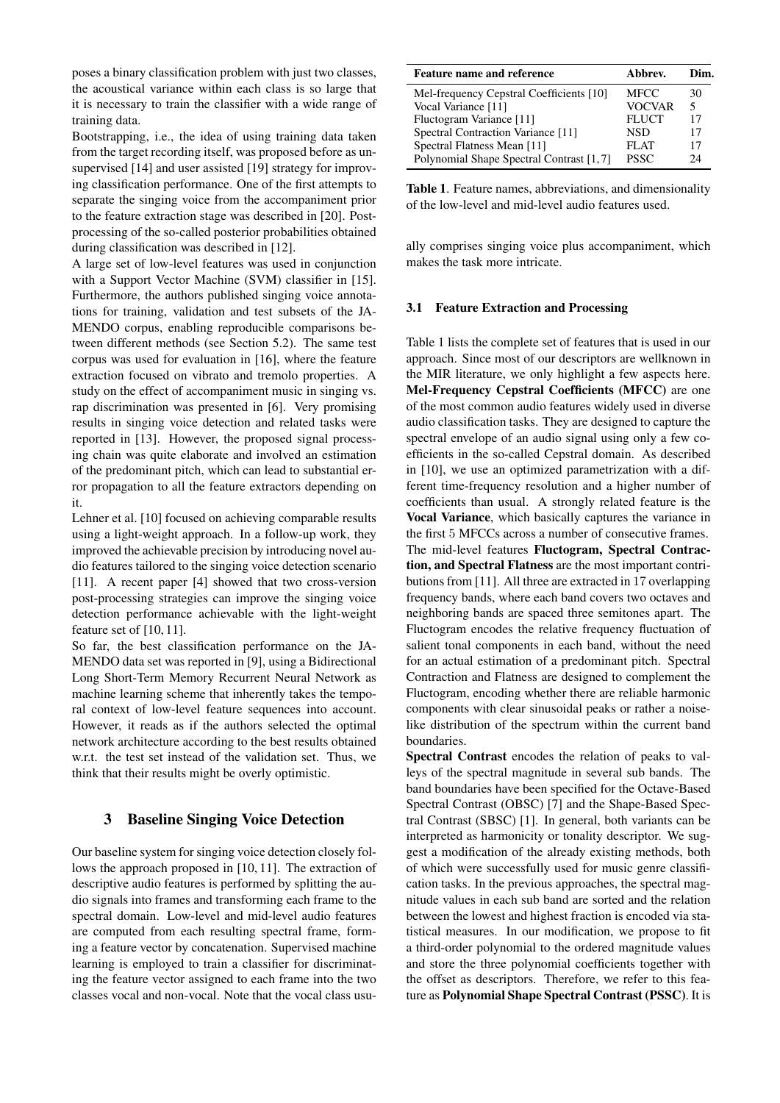poses a binary classification problem with just two classes, the acoustical variance within each class is so large that it is necessary to train the classifier with a wide range of training data.

Bootstrapping, i.e., the idea of using training data taken from the target recording itself, was proposed before as unsupervised [14] and user assisted [19] strategy for improving classification performance. One of the first attempts to separate the singing voice from the accompaniment prior to the feature extraction stage was described in [20]. Postprocessing of the so-called posterior probabilities obtained during classification was described in [12].

A large set of low-level features was used in conjunction with a Support Vector Machine (SVM) classifier in [15]. Furthermore, the authors published singing voice annotations for training, validation and test subsets of the JA-MENDO corpus, enabling reproducible comparisons between different methods (see Section 5.2). The same test corpus was used for evaluation in [16], where the feature extraction focused on vibrato and tremolo properties. A study on the effect of accompaniment music in singing vs. rap discrimination was presented in [6]. Very promising results in singing voice detection and related tasks were reported in [13]. However, the proposed signal processing chain was quite elaborate and involved an estimation of the predominant pitch, which can lead to substantial error propagation to all the feature extractors depending on it.

Lehner et al. [10] focused on achieving comparable results using a light-weight approach. In a follow-up work, they improved the achievable precision by introducing novel audio features tailored to the singing voice detection scenario [11]. A recent paper [4] showed that two cross-version post-processing strategies can improve the singing voice detection performance achievable with the light-weight feature set of [10, 11].

So far, the best classification performance on the JA-MENDO data set was reported in [9], using a Bidirectional Long Short-Term Memory Recurrent Neural Network as machine learning scheme that inherently takes the temporal context of low-level feature sequences into account. However, it reads as if the authors selected the optimal network architecture according to the best results obtained w.r.t. the test set instead of the validation set. Thus, we think that their results might be overly optimistic.

# 3 Baseline Singing Voice Detection

Our baseline system for singing voice detection closely follows the approach proposed in [10, 11]. The extraction of descriptive audio features is performed by splitting the audio signals into frames and transforming each frame to the spectral domain. Low-level and mid-level audio features are computed from each resulting spectral frame, forming a feature vector by concatenation. Supervised machine learning is employed to train a classifier for discriminating the feature vector assigned to each frame into the two classes vocal and non-vocal. Note that the vocal class usu-

| <b>Feature name and reference</b>        | Abbrev.       | Dim. |
|------------------------------------------|---------------|------|
| Mel-frequency Cepstral Coefficients [10] | MFCC          | 30   |
| Vocal Variance [11]                      | <b>VOCVAR</b> | 5    |
| Fluctogram Variance [11]                 | <b>FLUCT</b>  | 17   |
| Spectral Contraction Variance [11]       | <b>NSD</b>    | 17   |
| Spectral Flatness Mean [11]              | FLAT          | 17   |
| Polynomial Shape Spectral Contrast [1,7] | <b>PSSC</b>   | 24   |

Table 1. Feature names, abbreviations, and dimensionality of the low-level and mid-level audio features used.

ally comprises singing voice plus accompaniment, which makes the task more intricate.

#### 3.1 Feature Extraction and Processing

Table 1 lists the complete set of features that is used in our approach. Since most of our descriptors are wellknown in the MIR literature, we only highlight a few aspects here. Mel-Frequency Cepstral Coefficients (MFCC) are one of the most common audio features widely used in diverse audio classification tasks. They are designed to capture the spectral envelope of an audio signal using only a few coefficients in the so-called Cepstral domain. As described in [10], we use an optimized parametrization with a different time-frequency resolution and a higher number of coefficients than usual. A strongly related feature is the Vocal Variance, which basically captures the variance in the first 5 MFCCs across a number of consecutive frames. The mid-level features Fluctogram, Spectral Contraction, and Spectral Flatness are the most important contributions from [11]. All three are extracted in 17 overlapping frequency bands, where each band covers two octaves and neighboring bands are spaced three semitones apart. The Fluctogram encodes the relative frequency fluctuation of salient tonal components in each band, without the need for an actual estimation of a predominant pitch. Spectral Contraction and Flatness are designed to complement the Fluctogram, encoding whether there are reliable harmonic components with clear sinusoidal peaks or rather a noiselike distribution of the spectrum within the current band boundaries.

Spectral Contrast encodes the relation of peaks to valleys of the spectral magnitude in several sub bands. The band boundaries have been specified for the Octave-Based Spectral Contrast (OBSC) [7] and the Shape-Based Spectral Contrast (SBSC) [1]. In general, both variants can be interpreted as harmonicity or tonality descriptor. We suggest a modification of the already existing methods, both of which were successfully used for music genre classification tasks. In the previous approaches, the spectral magnitude values in each sub band are sorted and the relation between the lowest and highest fraction is encoded via statistical measures. In our modification, we propose to fit a third-order polynomial to the ordered magnitude values and store the three polynomial coefficients together with the offset as descriptors. Therefore, we refer to this feature as Polynomial Shape Spectral Contrast (PSSC). It is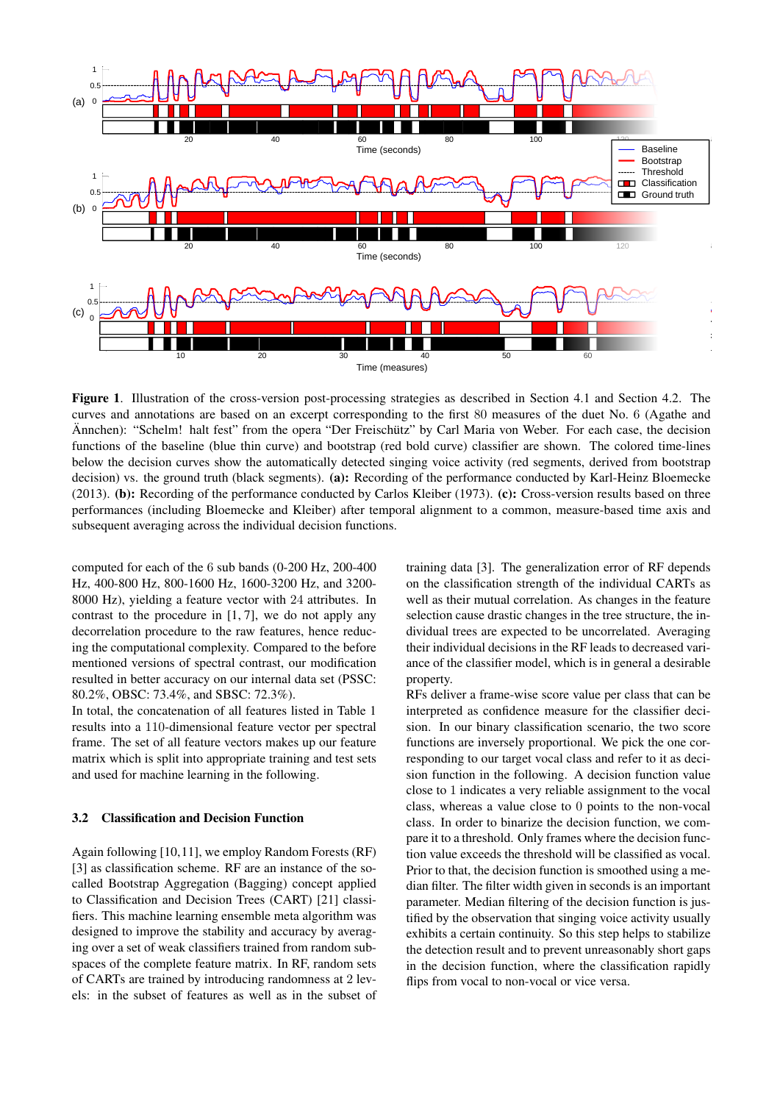

Figure 1. Illustration of the cross-version post-processing strategies as described in Section 4.1 and Section 4.2. The curves and annotations are based on an excerpt corresponding to the first 80 measures of the duet No. 6 (Agathe and Annchen): "Schelm! halt fest" from the opera "Der Freischütz" by Carl Maria von Weber. For each case, the decision functions of the baseline (blue thin curve) and bootstrap (red bold curve) classifier are shown. The colored time-lines below the decision curves show the automatically detected singing voice activity (red segments, derived from bootstrap decision) vs. the ground truth (black segments). (a): Recording of the performance conducted by Karl-Heinz Bloemecke (2013). (b): Recording of the performance conducted by Carlos Kleiber (1973). (c): Cross-version results based on three performances (including Bloemecke and Kleiber) after temporal alignment to a common, measure-based time axis and subsequent averaging across the individual decision functions.

computed for each of the 6 sub bands (0-200 Hz, 200-400 Hz, 400-800 Hz, 800-1600 Hz, 1600-3200 Hz, and 3200- 8000 Hz), yielding a feature vector with 24 attributes. In contrast to the procedure in [1, 7], we do not apply any decorrelation procedure to the raw features, hence reducing the computational complexity. Compared to the before mentioned versions of spectral contrast, our modification resulted in better accuracy on our internal data set (PSSC: 80.2%, OBSC: 73.4%, and SBSC: 72.3%).

In total, the concatenation of all features listed in Table 1 results into a 110-dimensional feature vector per spectral frame. The set of all feature vectors makes up our feature matrix which is split into appropriate training and test sets and used for machine learning in the following.

#### 3.2 Classification and Decision Function

Again following [10,11], we employ Random Forests (RF) [3] as classification scheme. RF are an instance of the socalled Bootstrap Aggregation (Bagging) concept applied to Classification and Decision Trees (CART) [21] classifiers. This machine learning ensemble meta algorithm was designed to improve the stability and accuracy by averaging over a set of weak classifiers trained from random subspaces of the complete feature matrix. In RF, random sets of CARTs are trained by introducing randomness at 2 levels: in the subset of features as well as in the subset of training data [3]. The generalization error of RF depends on the classification strength of the individual CARTs as well as their mutual correlation. As changes in the feature selection cause drastic changes in the tree structure, the individual trees are expected to be uncorrelated. Averaging their individual decisions in the RF leads to decreased variance of the classifier model, which is in general a desirable property.

RFs deliver a frame-wise score value per class that can be interpreted as confidence measure for the classifier decision. In our binary classification scenario, the two score functions are inversely proportional. We pick the one corresponding to our target vocal class and refer to it as decision function in the following. A decision function value close to 1 indicates a very reliable assignment to the vocal class, whereas a value close to 0 points to the non-vocal class. In order to binarize the decision function, we compare it to a threshold. Only frames where the decision function value exceeds the threshold will be classified as vocal. Prior to that, the decision function is smoothed using a median filter. The filter width given in seconds is an important parameter. Median filtering of the decision function is justified by the observation that singing voice activity usually exhibits a certain continuity. So this step helps to stabilize the detection result and to prevent unreasonably short gaps in the decision function, where the classification rapidly flips from vocal to non-vocal or vice versa.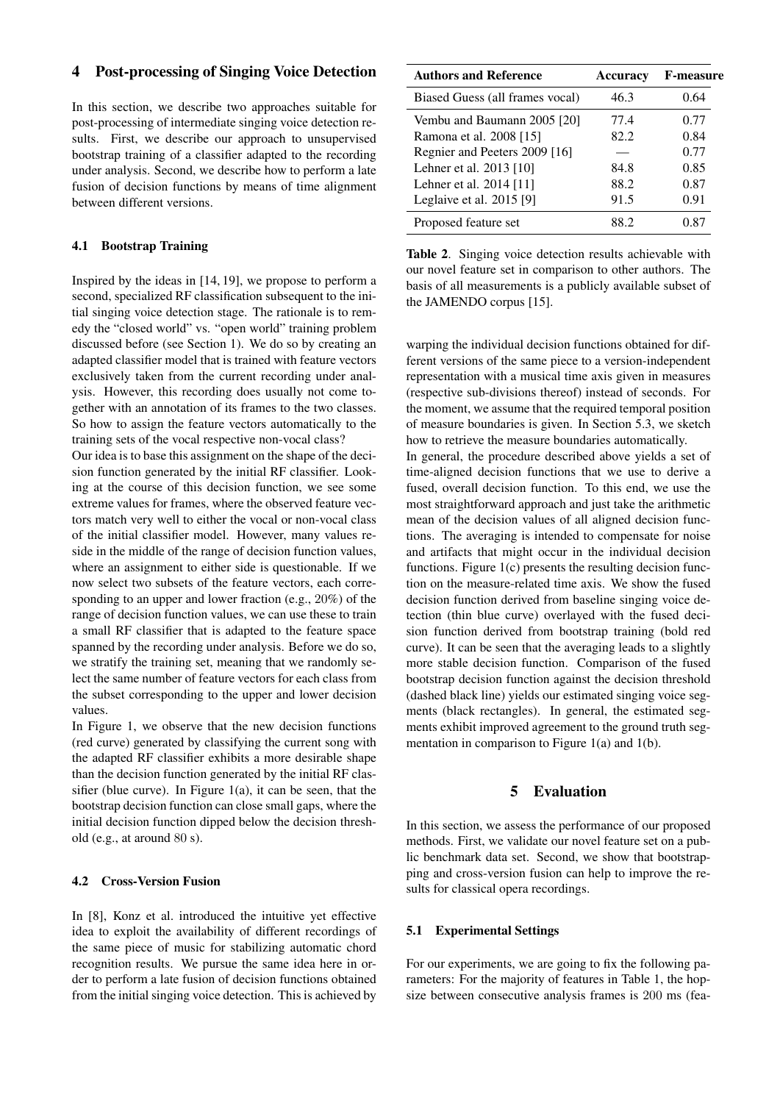# 4 Post-processing of Singing Voice Detection

In this section, we describe two approaches suitable for post-processing of intermediate singing voice detection results. First, we describe our approach to unsupervised bootstrap training of a classifier adapted to the recording under analysis. Second, we describe how to perform a late fusion of decision functions by means of time alignment between different versions.

#### 4.1 Bootstrap Training

Inspired by the ideas in [14, 19], we propose to perform a second, specialized RF classification subsequent to the initial singing voice detection stage. The rationale is to remedy the "closed world" vs. "open world" training problem discussed before (see Section 1). We do so by creating an adapted classifier model that is trained with feature vectors exclusively taken from the current recording under analysis. However, this recording does usually not come together with an annotation of its frames to the two classes. So how to assign the feature vectors automatically to the training sets of the vocal respective non-vocal class?

Our idea is to base this assignment on the shape of the decision function generated by the initial RF classifier. Looking at the course of this decision function, we see some extreme values for frames, where the observed feature vectors match very well to either the vocal or non-vocal class of the initial classifier model. However, many values reside in the middle of the range of decision function values, where an assignment to either side is questionable. If we now select two subsets of the feature vectors, each corresponding to an upper and lower fraction (e.g., 20%) of the range of decision function values, we can use these to train a small RF classifier that is adapted to the feature space spanned by the recording under analysis. Before we do so, we stratify the training set, meaning that we randomly select the same number of feature vectors for each class from the subset corresponding to the upper and lower decision values.

In Figure 1, we observe that the new decision functions (red curve) generated by classifying the current song with the adapted RF classifier exhibits a more desirable shape than the decision function generated by the initial RF classifier (blue curve). In Figure 1(a), it can be seen, that the bootstrap decision function can close small gaps, where the initial decision function dipped below the decision threshold (e.g., at around 80 s).

#### 4.2 Cross-Version Fusion

In [8], Konz et al. introduced the intuitive yet effective idea to exploit the availability of different recordings of the same piece of music for stabilizing automatic chord recognition results. We pursue the same idea here in order to perform a late fusion of decision functions obtained from the initial singing voice detection. This is achieved by

| <b>Authors and Reference</b>    | <b>Accuracy</b> | <b>F-measure</b> |
|---------------------------------|-----------------|------------------|
| Biased Guess (all frames vocal) | 46.3            | 0.64             |
| Vembu and Baumann 2005 [20]     | 77.4            | 0.77             |
| Ramona et al. 2008 [15]         | 82.2            | 0.84             |
| Regnier and Peeters 2009 [16]   |                 | 0.77             |
| Lehner et al. 2013 [10]         | 84.8            | 0.85             |
| Lehner et al. 2014 [11]         | 88.2            | 0.87             |
| Leglaive et al. 2015 [9]        | 91.5            | 0.91             |
| Proposed feature set            | 88.2            | 0.87             |

Table 2. Singing voice detection results achievable with our novel feature set in comparison to other authors. The basis of all measurements is a publicly available subset of the JAMENDO corpus [15].

warping the individual decision functions obtained for different versions of the same piece to a version-independent representation with a musical time axis given in measures (respective sub-divisions thereof) instead of seconds. For the moment, we assume that the required temporal position of measure boundaries is given. In Section 5.3, we sketch how to retrieve the measure boundaries automatically.

In general, the procedure described above yields a set of time-aligned decision functions that we use to derive a fused, overall decision function. To this end, we use the most straightforward approach and just take the arithmetic mean of the decision values of all aligned decision functions. The averaging is intended to compensate for noise and artifacts that might occur in the individual decision functions. Figure 1(c) presents the resulting decision function on the measure-related time axis. We show the fused decision function derived from baseline singing voice detection (thin blue curve) overlayed with the fused decision function derived from bootstrap training (bold red curve). It can be seen that the averaging leads to a slightly more stable decision function. Comparison of the fused bootstrap decision function against the decision threshold (dashed black line) yields our estimated singing voice segments (black rectangles). In general, the estimated segments exhibit improved agreement to the ground truth segmentation in comparison to Figure 1(a) and 1(b).

## 5 Evaluation

In this section, we assess the performance of our proposed methods. First, we validate our novel feature set on a public benchmark data set. Second, we show that bootstrapping and cross-version fusion can help to improve the results for classical opera recordings.

#### 5.1 Experimental Settings

For our experiments, we are going to fix the following parameters: For the majority of features in Table 1, the hopsize between consecutive analysis frames is 200 ms (fea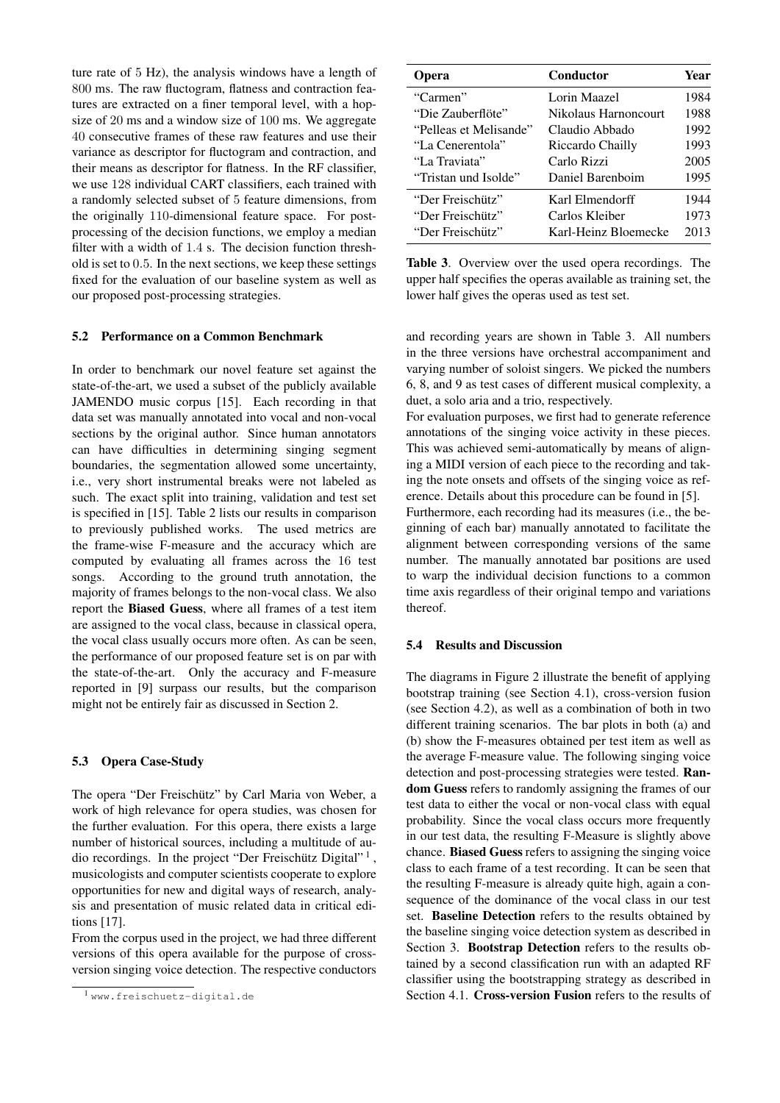ture rate of 5 Hz), the analysis windows have a length of 800 ms. The raw fluctogram, flatness and contraction features are extracted on a finer temporal level, with a hopsize of 20 ms and a window size of 100 ms. We aggregate 40 consecutive frames of these raw features and use their variance as descriptor for fluctogram and contraction, and their means as descriptor for flatness. In the RF classifier, we use 128 individual CART classifiers, each trained with a randomly selected subset of 5 feature dimensions, from the originally 110-dimensional feature space. For postprocessing of the decision functions, we employ a median filter with a width of 1.4 s. The decision function threshold is set to 0.5. In the next sections, we keep these settings fixed for the evaluation of our baseline system as well as our proposed post-processing strategies.

#### 5.2 Performance on a Common Benchmark

In order to benchmark our novel feature set against the state-of-the-art, we used a subset of the publicly available JAMENDO music corpus [15]. Each recording in that data set was manually annotated into vocal and non-vocal sections by the original author. Since human annotators can have difficulties in determining singing segment boundaries, the segmentation allowed some uncertainty, i.e., very short instrumental breaks were not labeled as such. The exact split into training, validation and test set is specified in [15]. Table 2 lists our results in comparison to previously published works. The used metrics are the frame-wise F-measure and the accuracy which are computed by evaluating all frames across the 16 test songs. According to the ground truth annotation, the majority of frames belongs to the non-vocal class. We also report the Biased Guess, where all frames of a test item are assigned to the vocal class, because in classical opera, the vocal class usually occurs more often. As can be seen, the performance of our proposed feature set is on par with the state-of-the-art. Only the accuracy and F-measure reported in [9] surpass our results, but the comparison might not be entirely fair as discussed in Section 2.

#### 5.3 Opera Case-Study

The opera "Der Freischütz" by Carl Maria von Weber, a work of high relevance for opera studies, was chosen for the further evaluation. For this opera, there exists a large number of historical sources, including a multitude of audio recordings. In the project "Der Freischütz Digital"<sup>1</sup>, musicologists and computer scientists cooperate to explore opportunities for new and digital ways of research, analysis and presentation of music related data in critical editions [17].

From the corpus used in the project, we had three different versions of this opera available for the purpose of crossversion singing voice detection. The respective conductors

| <b>Opera</b>           | Conductor            | Year |
|------------------------|----------------------|------|
| "Carmen"               | Lorin Maazel         | 1984 |
| "Die Zauberflöte"      | Nikolaus Harnoncourt | 1988 |
| "Pelleas et Melisande" | Claudio Abbado       | 1992 |
| "La Cenerentola"       | Riccardo Chailly     | 1993 |
| "La Traviata"          | Carlo Rizzi          | 2005 |
| "Tristan und Isolde"   | Daniel Barenboim     | 1995 |
| "Der Freischiitz"      | Karl Elmendorff      | 1944 |
| "Der Freischiitz"      | Carlos Kleiber       | 1973 |
| "Der Freischütz"       | Karl-Heinz Bloemecke | 2013 |

Table 3. Overview over the used opera recordings. The upper half specifies the operas available as training set, the lower half gives the operas used as test set.

and recording years are shown in Table 3. All numbers in the three versions have orchestral accompaniment and varying number of soloist singers. We picked the numbers 6, 8, and 9 as test cases of different musical complexity, a duet, a solo aria and a trio, respectively.

For evaluation purposes, we first had to generate reference annotations of the singing voice activity in these pieces. This was achieved semi-automatically by means of aligning a MIDI version of each piece to the recording and taking the note onsets and offsets of the singing voice as reference. Details about this procedure can be found in [5].

Furthermore, each recording had its measures (i.e., the beginning of each bar) manually annotated to facilitate the alignment between corresponding versions of the same number. The manually annotated bar positions are used to warp the individual decision functions to a common time axis regardless of their original tempo and variations thereof.

#### 5.4 Results and Discussion

The diagrams in Figure 2 illustrate the benefit of applying bootstrap training (see Section 4.1), cross-version fusion (see Section 4.2), as well as a combination of both in two different training scenarios. The bar plots in both (a) and (b) show the F-measures obtained per test item as well as the average F-measure value. The following singing voice detection and post-processing strategies were tested. Random Guess refers to randomly assigning the frames of our test data to either the vocal or non-vocal class with equal probability. Since the vocal class occurs more frequently in our test data, the resulting F-Measure is slightly above chance. Biased Guess refers to assigning the singing voice class to each frame of a test recording. It can be seen that the resulting F-measure is already quite high, again a consequence of the dominance of the vocal class in our test set. Baseline Detection refers to the results obtained by the baseline singing voice detection system as described in Section 3. Bootstrap Detection refers to the results obtained by a second classification run with an adapted RF classifier using the bootstrapping strategy as described in Section 4.1. Cross-version Fusion refers to the results of

<sup>1</sup> www.freischuetz-digital.de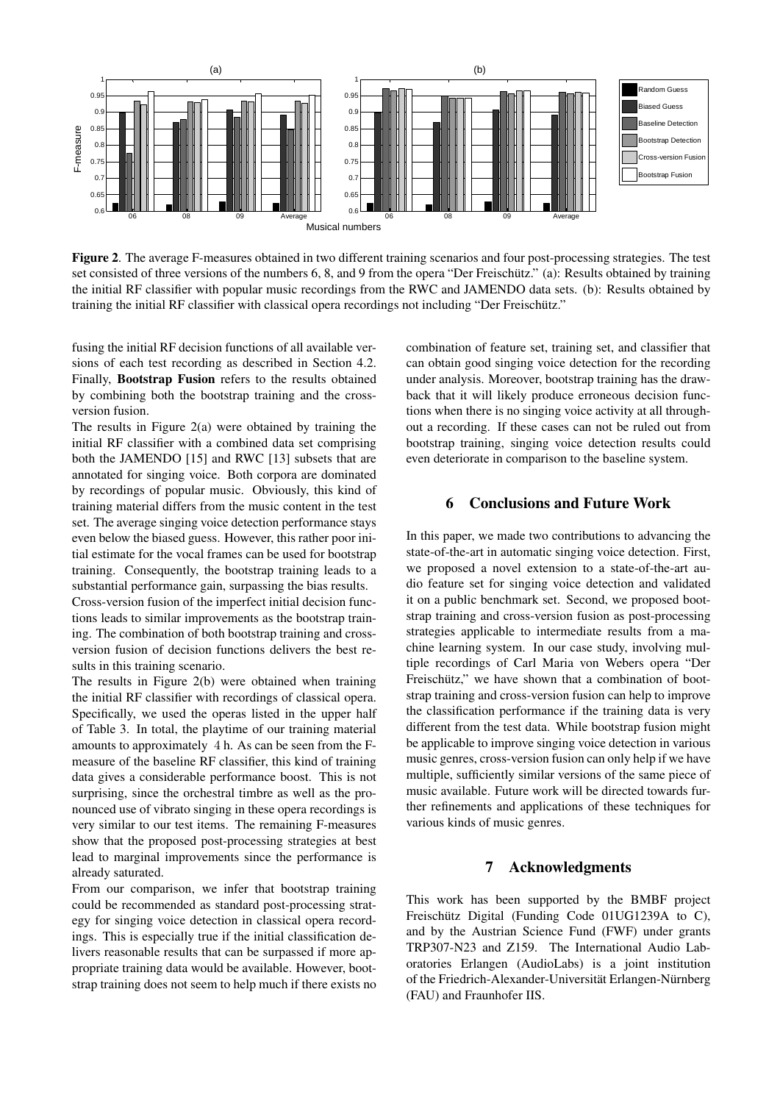

Figure 2. The average F-measures obtained in two different training scenarios and four post-processing strategies. The test set consisted of three versions of the numbers 6, 8, and 9 from the opera "Der Freischütz." (a): Results obtained by training the initial RF classifier with popular music recordings from the RWC and JAMENDO data sets. (b): Results obtained by training the initial RF classifier with classical opera recordings not including "Der Freischütz."

fusing the initial RF decision functions of all available versions of each test recording as described in Section 4.2. Finally, Bootstrap Fusion refers to the results obtained by combining both the bootstrap training and the crossversion fusion.

The results in Figure 2(a) were obtained by training the initial RF classifier with a combined data set comprising both the JAMENDO [15] and RWC [13] subsets that are annotated for singing voice. Both corpora are dominated by recordings of popular music. Obviously, this kind of training material differs from the music content in the test set. The average singing voice detection performance stays even below the biased guess. However, this rather poor initial estimate for the vocal frames can be used for bootstrap training. Consequently, the bootstrap training leads to a substantial performance gain, surpassing the bias results.

Cross-version fusion of the imperfect initial decision functions leads to similar improvements as the bootstrap training. The combination of both bootstrap training and crossversion fusion of decision functions delivers the best results in this training scenario.

The results in Figure 2(b) were obtained when training the initial RF classifier with recordings of classical opera. Specifically, we used the operas listed in the upper half of Table 3. In total, the playtime of our training material amounts to approximately 4 h. As can be seen from the Fmeasure of the baseline RF classifier, this kind of training data gives a considerable performance boost. This is not surprising, since the orchestral timbre as well as the pronounced use of vibrato singing in these opera recordings is very similar to our test items. The remaining F-measures show that the proposed post-processing strategies at best lead to marginal improvements since the performance is already saturated.

From our comparison, we infer that bootstrap training could be recommended as standard post-processing strategy for singing voice detection in classical opera recordings. This is especially true if the initial classification delivers reasonable results that can be surpassed if more appropriate training data would be available. However, bootstrap training does not seem to help much if there exists no combination of feature set, training set, and classifier that can obtain good singing voice detection for the recording under analysis. Moreover, bootstrap training has the drawback that it will likely produce erroneous decision functions when there is no singing voice activity at all throughout a recording. If these cases can not be ruled out from bootstrap training, singing voice detection results could even deteriorate in comparison to the baseline system.

#### 6 Conclusions and Future Work

In this paper, we made two contributions to advancing the state-of-the-art in automatic singing voice detection. First, we proposed a novel extension to a state-of-the-art audio feature set for singing voice detection and validated it on a public benchmark set. Second, we proposed bootstrap training and cross-version fusion as post-processing strategies applicable to intermediate results from a machine learning system. In our case study, involving multiple recordings of Carl Maria von Webers opera "Der Freischütz," we have shown that a combination of bootstrap training and cross-version fusion can help to improve the classification performance if the training data is very different from the test data. While bootstrap fusion might be applicable to improve singing voice detection in various music genres, cross-version fusion can only help if we have multiple, sufficiently similar versions of the same piece of music available. Future work will be directed towards further refinements and applications of these techniques for various kinds of music genres.

## 7 Acknowledgments

This work has been supported by the BMBF project Freischütz Digital (Funding Code 01UG1239A to C), and by the Austrian Science Fund (FWF) under grants TRP307-N23 and Z159. The International Audio Laboratories Erlangen (AudioLabs) is a joint institution of the Friedrich-Alexander-Universität Erlangen-Nürnberg (FAU) and Fraunhofer IIS.